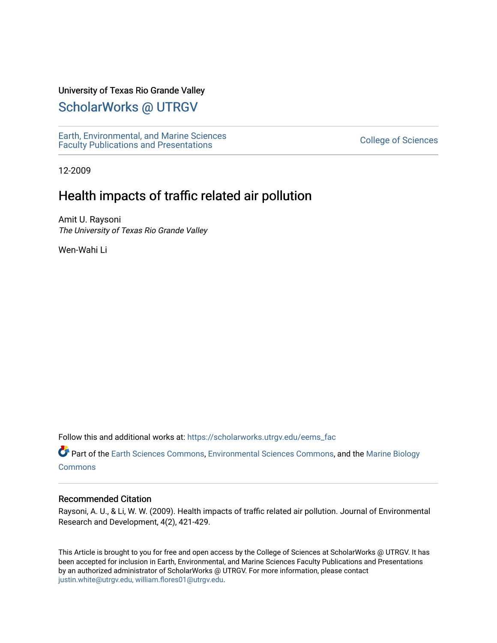# University of Texas Rio Grande Valley

# [ScholarWorks @ UTRGV](https://scholarworks.utrgv.edu/)

[Earth, Environmental, and Marine Sciences](https://scholarworks.utrgv.edu/eems_fac) [Faculty Publications and Presentations](https://scholarworks.utrgv.edu/eems_fac) [College of Sciences](https://scholarworks.utrgv.edu/cos) 

12-2009

# Health impacts of traffic related air pollution

Amit U. Raysoni The University of Texas Rio Grande Valley

Wen-Wahi Li

Follow this and additional works at: [https://scholarworks.utrgv.edu/eems\\_fac](https://scholarworks.utrgv.edu/eems_fac?utm_source=scholarworks.utrgv.edu%2Feems_fac%2F170&utm_medium=PDF&utm_campaign=PDFCoverPages) 

Part of the [Earth Sciences Commons,](http://network.bepress.com/hgg/discipline/153?utm_source=scholarworks.utrgv.edu%2Feems_fac%2F170&utm_medium=PDF&utm_campaign=PDFCoverPages) [Environmental Sciences Commons](http://network.bepress.com/hgg/discipline/167?utm_source=scholarworks.utrgv.edu%2Feems_fac%2F170&utm_medium=PDF&utm_campaign=PDFCoverPages), and the [Marine Biology](http://network.bepress.com/hgg/discipline/1126?utm_source=scholarworks.utrgv.edu%2Feems_fac%2F170&utm_medium=PDF&utm_campaign=PDFCoverPages) [Commons](http://network.bepress.com/hgg/discipline/1126?utm_source=scholarworks.utrgv.edu%2Feems_fac%2F170&utm_medium=PDF&utm_campaign=PDFCoverPages)

#### Recommended Citation

Raysoni, A. U., & Li, W. W. (2009). Health impacts of traffic related air pollution. Journal of Environmental Research and Development, 4(2), 421-429.

This Article is brought to you for free and open access by the College of Sciences at ScholarWorks @ UTRGV. It has been accepted for inclusion in Earth, Environmental, and Marine Sciences Faculty Publications and Presentations by an authorized administrator of ScholarWorks @ UTRGV. For more information, please contact [justin.white@utrgv.edu, william.flores01@utrgv.edu](mailto:justin.white@utrgv.edu,%20william.flores01@utrgv.edu).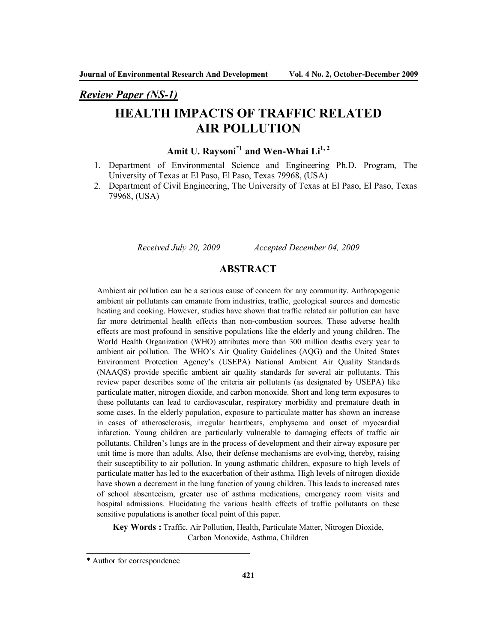*Review Paper (NS-1)*

# **HEALTH IMPACTS OF TRAFFIC RELATED AIR POLLUTION**

# **Amit U. Raysoni\*1 and Wen-Whai Li1, <sup>2</sup>**

- 1. Department of Environmental Science and Engineering Ph.D. Program, The University of Texas at El Paso, El Paso, Texas 79968, (USA)
- 2. Department of Civil Engineering, The University of Texas at El Paso, El Paso, Texas 79968, (USA)

*Received July 20, 2009 Accepted December 04, 2009*

# **ABSTRACT**

Ambient air pollution can be a serious cause of concern for any community. Anthropogenic ambient air pollutants can emanate from industries, traffic, geological sources and domestic heating and cooking. However, studies have shown that traffic related air pollution can have far more detrimental health effects than non-combustion sources. These adverse health effects are most profound in sensitive populations like the elderly and young children. The World Health Organization (WHO) attributes more than 300 million deaths every year to ambient air pollution. The WHO's Air Quality Guidelines (AQG) and the United States Environment Protection Agency's (USEPA) National Ambient Air Quality Standards (NAAQS) provide specific ambient air quality standards for several air pollutants. This review paper describes some of the criteria air pollutants (as designated by USEPA) like particulate matter, nitrogen dioxide, and carbon monoxide. Short and long term exposures to these pollutants can lead to cardiovascular, respiratory morbidity and premature death in some cases. In the elderly population, exposure to particulate matter has shown an increase in cases of atherosclerosis, irregular heartbeats, emphysema and onset of myocardial infarction. Young children are particularly vulnerable to damaging effects of traffic air pollutants. Children's lungs are in the process of development and their airway exposure per unit time is more than adults. Also, their defense mechanisms are evolving, thereby, raising their susceptibility to air pollution. In young asthmatic children, exposure to high levels of particulate matter has led to the exacerbation of their asthma. High levels of nitrogen dioxide have shown a decrement in the lung function of young children. This leads to increased rates of school absenteeism, greater use of asthma medications, emergency room visits and hospital admissions. Elucidating the various health effects of traffic pollutants on these sensitive populations is another focal point of this paper.

**Key Words :** Traffic, Air Pollution, Health, Particulate Matter, Nitrogen Dioxide, Carbon Monoxide, Asthma, Children

**<sup>\*</sup>** Author for correspondence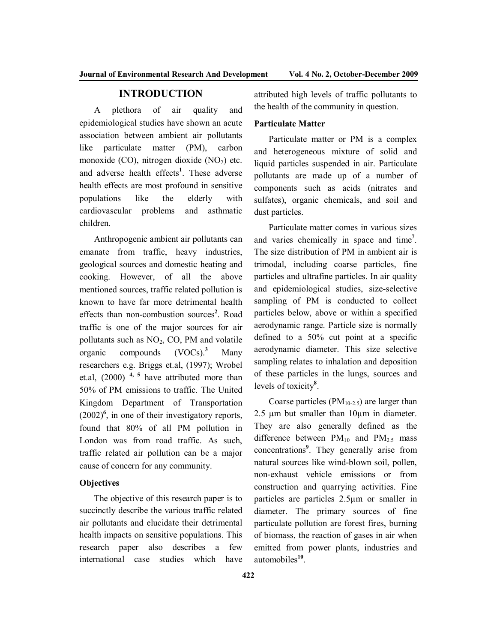# **INTRODUCTION**

A plethora of air quality and epidemiological studies have shown an acute association between ambient air pollutants like particulate matter (PM), carbon monoxide (CO), nitrogen dioxide  $(NO<sub>2</sub>)$  etc. and adverse health effects**<sup>1</sup>** . These adverse health effects are most profound in sensitive populations like the elderly with cardiovascular problems and asthmatic children.

Anthropogenic ambient air pollutants can emanate from traffic, heavy industries, geological sources and domestic heating and cooking. However, of all the above mentioned sources, traffic related pollution is known to have far more detrimental health effects than non-combustion sources**<sup>2</sup>** . Road traffic is one of the major sources for air pollutants such as  $NO<sub>2</sub>$ , CO, PM and volatile organic compounds (VOCs). **<sup>3</sup>** Many researchers e.g. Briggs et.al, (1997); Wrobel et.al, (2000) **4, 5** have attributed more than 50% of PM emissions to traffic. The United Kingdom Department of Transportation  $(2002)^6$ , in one of their investigatory reports, found that 80% of all PM pollution in London was from road traffic. As such, traffic related air pollution can be a major cause of concern for any community.

## **Objectives**

The objective of this research paper is to succinctly describe the various traffic related air pollutants and elucidate their detrimental health impacts on sensitive populations. This research paper also describes a few international case studies which have attributed high levels of traffic pollutants to the health of the community in question.

#### **Particulate Matter**

Particulate matter or PM is a complex and heterogeneous mixture of solid and liquid particles suspended in air. Particulate pollutants are made up of a number of components such as acids (nitrates and sulfates), organic chemicals, and soil and dust particles.

Particulate matter comes in various sizes and varies chemically in space and time**<sup>7</sup>** . The size distribution of PM in ambient air is trimodal, including coarse particles, fine particles and ultrafine particles. In air quality and epidemiological studies, size-selective sampling of PM is conducted to collect particles below, above or within a specified aerodynamic range. Particle size is normally defined to a 50% cut point at a specific aerodynamic diameter. This size selective sampling relates to inhalation and deposition of these particles in the lungs, sources and levels of toxicity**<sup>8</sup>** .

Coarse particles  $(PM_{10-2.5})$  are larger than 2.5 µm but smaller than 10µm in diameter. They are also generally defined as the difference between  $PM_{10}$  and  $PM_{2.5}$  mass concentrations**<sup>9</sup>** . They generally arise from natural sources like wind-blown soil, pollen, non-exhaust vehicle emissions or from construction and quarrying activities. Fine particles are particles 2.5µm or smaller in diameter. The primary sources of fine particulate pollution are forest fires, burning of biomass, the reaction of gases in air when emitted from power plants, industries and automobiles**<sup>10</sup>** .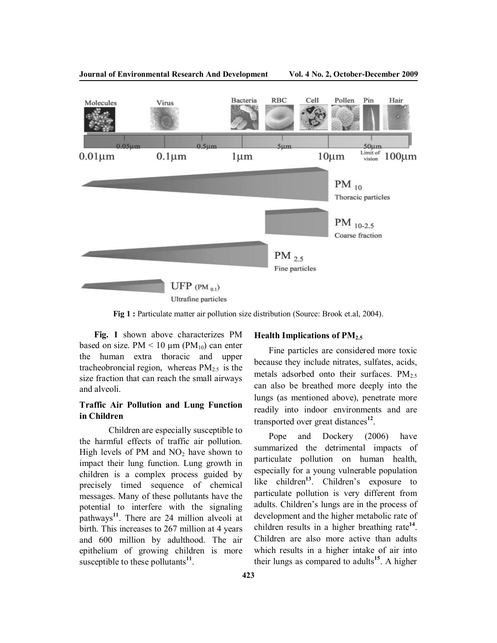

**Fig 1 :** Particulate matter air pollution size distribution (Source: Brook et.al, 2004).

**Fig. 1** shown above characterizes PM based on size. PM  $\leq 10 \mu m$  (PM<sub>10</sub>) can enter the human extra thoracic and upper tracheobroncial region, whereas  $PM_{2.5}$  is the size fraction that can reach the small airways and alveoli.

# **Traffic Air Pollution and Lung Function in Children**

Children are especially susceptible to the harmful effects of traffic air pollution. High levels of PM and  $NO<sub>2</sub>$  have shown to impact their lung function. Lung growth in children is a complex process guided by precisely timed sequence of chemical messages. Many of these pollutants have the potential to interfere with the signaling pathways**<sup>11</sup>** . There are 24 million alveoli at birth. This increases to 267 million at 4 years and 600 million by adulthood. The air epithelium of growing children is more susceptible to these pollutants<sup>11</sup>.

#### **Health Implications of PM2.5**

Fine particles are considered more toxic because they include nitrates, sulfates, acids, metals adsorbed onto their surfaces.  $PM_{2.5}$ can also be breathed more deeply into the lungs (as mentioned above), penetrate more readily into indoor environments and are transported over great distances**<sup>12</sup>** .

Pope and Dockery (2006) have summarized the detrimental impacts of particulate pollution on human health, especially for a young vulnerable population like children<sup>13</sup>. Children's exposure to particulate pollution is very different from adults. Children's lungs are in the process of development and the higher metabolic rate of children results in a higher breathing rate**<sup>14</sup>** . Children are also more active than adults which results in a higher intake of air into their lungs as compared to adults**<sup>15</sup>** . A higher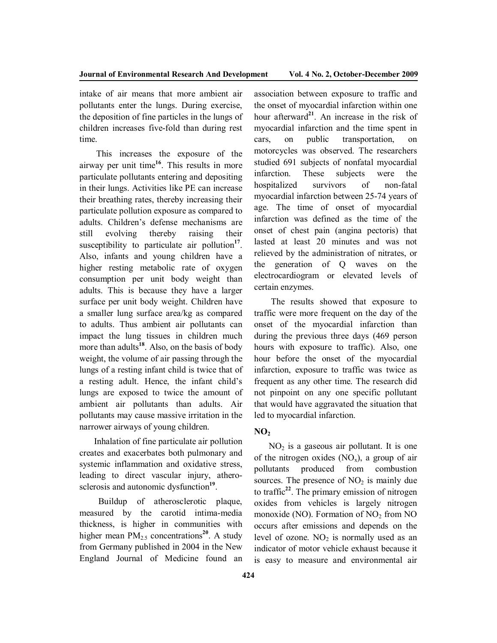intake of air means that more ambient air pollutants enter the lungs. During exercise, the deposition of fine particles in the lungs of children increases five-fold than during rest time.

This increases the exposure of the airway per unit time**<sup>16</sup>** . This results in more particulate pollutants entering and depositing in their lungs. Activities like PE can increase their breathing rates, thereby increasing their particulate pollution exposure as compared to adults. Children's defense mechanisms are still evolving thereby raising their susceptibility to particulate air pollution<sup>17</sup>. Also, infants and young children have a higher resting metabolic rate of oxygen consumption per unit body weight than adults. This is because they have a larger surface per unit body weight. Children have a smaller lung surface area/kg as compared to adults. Thus ambient air pollutants can impact the lung tissues in children much more than adults<sup>18</sup>. Also, on the basis of body weight, the volume of air passing through the lungs of a resting infant child is twice that of a resting adult. Hence, the infant child's lungs are exposed to twice the amount of ambient air pollutants than adults. Air pollutants may cause massive irritation in the narrower airways of young children.

Inhalation of fine particulate air pollution creates and exacerbates both pulmonary and systemic inflammation and oxidative stress, leading to direct vascular injury, atherosclerosis and autonomic dysfunction<sup>19</sup>.

 Buildup of atherosclerotic plaque, measured by the carotid intima-media thickness, is higher in communities with higher mean PM<sub>2.5</sub> concentrations<sup>20</sup>. A study from Germany published in 2004 in the New England Journal of Medicine found an

association between exposure to traffic and the onset of myocardial infarction within one hour afterward**<sup>21</sup>** . An increase in the risk of myocardial infarction and the time spent in cars, on public transportation, on motorcycles was observed. The researchers studied 691 subjects of nonfatal myocardial infarction. These subjects were the hospitalized survivors of non-fatal myocardial infarction between 25-74 years of age. The time of onset of myocardial infarction was defined as the time of the onset of chest pain (angina pectoris) that lasted at least 20 minutes and was not relieved by the administration of nitrates, or the generation of Q waves on the electrocardiogram or elevated levels of certain enzymes.

The results showed that exposure to traffic were more frequent on the day of the onset of the myocardial infarction than during the previous three days (469 person hours with exposure to traffic). Also, one hour before the onset of the myocardial infarction, exposure to traffic was twice as frequent as any other time. The research did not pinpoint on any one specific pollutant that would have aggravated the situation that led to myocardial infarction.

## **NO<sup>2</sup>**

 $NO<sub>2</sub>$  is a gaseous air pollutant. It is one of the nitrogen oxides  $(NO_x)$ , a group of air pollutants produced from combustion sources. The presence of  $NO<sub>2</sub>$  is mainly due to traffic**<sup>22</sup>** . The primary emission of nitrogen oxides from vehicles is largely nitrogen monoxide (NO). Formation of  $NO<sub>2</sub>$  from NO occurs after emissions and depends on the level of ozone.  $NO<sub>2</sub>$  is normally used as an indicator of motor vehicle exhaust because it is easy to measure and environmental air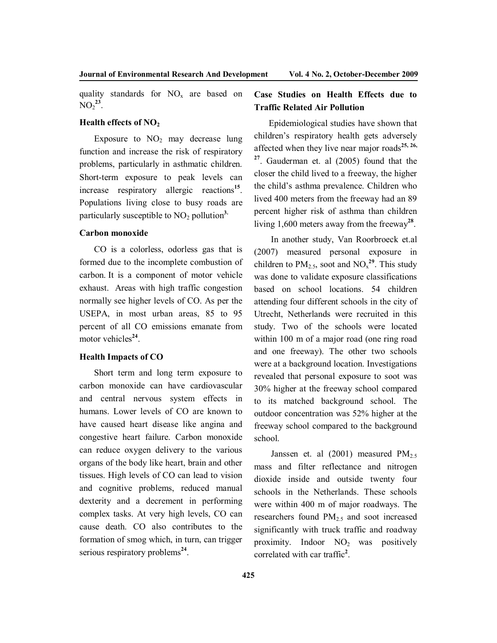quality standards for  $NO<sub>x</sub>$  are based on  $NO_2^{23}$ .

#### **Health effects of NO<sup>2</sup>**

Exposure to  $NO<sub>2</sub>$  may decrease lung function and increase the risk of respiratory problems, particularly in asthmatic children. Short-term exposure to peak levels can increase respiratory allergic reactions**<sup>15</sup>** . Populations living close to busy roads are particularly susceptible to  $NO<sub>2</sub>$  pollution<sup>3.</sup>

#### **Carbon monoxide**

CO is a colorless, odorless gas that is formed due to the incomplete combustion of carbon. It is a component of motor vehicle exhaust. Areas with high traffic congestion normally see higher levels of CO. As per the USEPA, in most urban areas, 85 to 95 percent of all CO emissions emanate from motor vehicles<sup>24</sup>.

# **Health Impacts of CO**

Short term and long term exposure to carbon monoxide can have cardiovascular and central nervous system effects in humans. Lower levels of CO are known to have caused heart disease like angina and congestive heart failure. Carbon monoxide can reduce oxygen delivery to the various organs of the body like heart, brain and other tissues. High levels of CO can lead to vision and cognitive problems, reduced manual dexterity and a decrement in performing complex tasks. At very high levels, CO can cause death. CO also contributes to the formation of smog which, in turn, can trigger serious respiratory problems<sup>24</sup>.

# **Case Studies on Health Effects due to Traffic Related Air Pollution**

Epidemiological studies have shown that children's respiratory health gets adversely affected when they live near major roads**25, 26, 27** . Gauderman et. al (2005) found that the closer the child lived to a freeway, the higher the child's asthma prevalence. Children who lived 400 meters from the freeway had an 89 percent higher risk of asthma than children living 1,600 meters away from the freeway**<sup>28</sup>** .

In another study, Van Roorbroeck et.al (2007) measured personal exposure in children to  $PM_{2.5}$ , soot and  $NO_x^{29}$ . This study was done to validate exposure classifications based on school locations. 54 children attending four different schools in the city of Utrecht, Netherlands were recruited in this study. Two of the schools were located within 100 m of a major road (one ring road and one freeway). The other two schools were at a background location. Investigations revealed that personal exposure to soot was 30% higher at the freeway school compared to its matched background school. The outdoor concentration was 52% higher at the freeway school compared to the background school.

Janssen et. al  $(2001)$  measured  $PM_{2.5}$ mass and filter reflectance and nitrogen dioxide inside and outside twenty four schools in the Netherlands. These schools were within 400 m of major roadways. The researchers found PM2.5 and soot increased significantly with truck traffic and roadway proximity. Indoor  $NO<sub>2</sub>$  was positively correlated with car traffic**<sup>2</sup>** .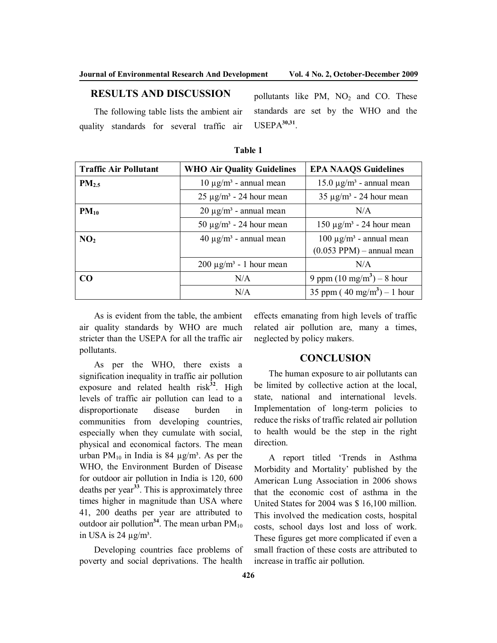pollutants like PM,  $NO<sub>2</sub>$  and CO. These standards are set by the WHO and the

# **RESULTS AND DISCUSSION**

The following table lists the ambient air quality standards for several traffic air

**Traffic Air Pollutant WHO Air Quality Guidelines EPA NAAQS Guidelines PM**<sub>2.5</sub> 10  $\mu$ g/m<sup>3</sup> - annual mean 15.0  $\mu$ g/m<sup>3</sup> - annual mean  $25 \mu g/m^3 - 24 \text{ hour mean}$  35  $\mu g/m^3 - 24 \text{ hour mean}$ **PM**<sub>10</sub>  $\vert$  20  $\mu$ g/m<sup>3</sup> - annual mean  $N/A$ 50  $\mu$ g/m<sup>3</sup> - 24 hour mean 150  $\mu$ g/m<sup>3</sup> - 24 hour mean **NO**<sub>2</sub> **40**  $\mu$ g/m<sup>3</sup> - annual mean 100  $\mu$ g/m<sup>3</sup> - annual mean  $(0.053$  PPM $)$  – annual mean  $200 \mu g/m^3 - 1$  hour mean  $N/A$ **CO** N/A  $\vert 9 \text{ ppm} (10 \text{ mg/m}^3) - 8 \text{ hour}$ N/A  $35 \text{ ppm} (40 \text{ mg/m}^3) - 1 \text{ hour}$ 

| anı<br>к |
|----------|
|----------|

USEPA**30,31** .

As is evident from the table, the ambient air quality standards by WHO are much stricter than the USEPA for all the traffic air pollutants.

As per the WHO, there exists a signification inequality in traffic air pollution exposure and related health risk<sup>32</sup>. High levels of traffic air pollution can lead to a disproportionate disease burden in communities from developing countries, especially when they cumulate with social, physical and economical factors. The mean urban PM<sub>10</sub> in India is 84  $\mu$ g/m<sup>3</sup>. As per the WHO, the Environment Burden of Disease for outdoor air pollution in India is 120, 600 deaths per year<sup>33</sup>. This is approximately three times higher in magnitude than USA where 41, 200 deaths per year are attributed to outdoor air pollution<sup>34</sup>. The mean urban  $PM_{10}$ in USA is  $24 \mu g/m^3$ .

Developing countries face problems of poverty and social deprivations. The health

effects emanating from high levels of traffic related air pollution are, many a times, neglected by policy makers.

# **CONCLUSION**

The human exposure to air pollutants can be limited by collective action at the local, state, national and international levels. Implementation of long-term policies to reduce the risks of traffic related air pollution to health would be the step in the right direction.

A report titled 'Trends in Asthma Morbidity and Mortality' published by the American Lung Association in 2006 shows that the economic cost of asthma in the United States for 2004 was \$ 16,100 million. This involved the medication costs, hospital costs, school days lost and loss of work. These figures get more complicated if even a small fraction of these costs are attributed to increase in traffic air pollution.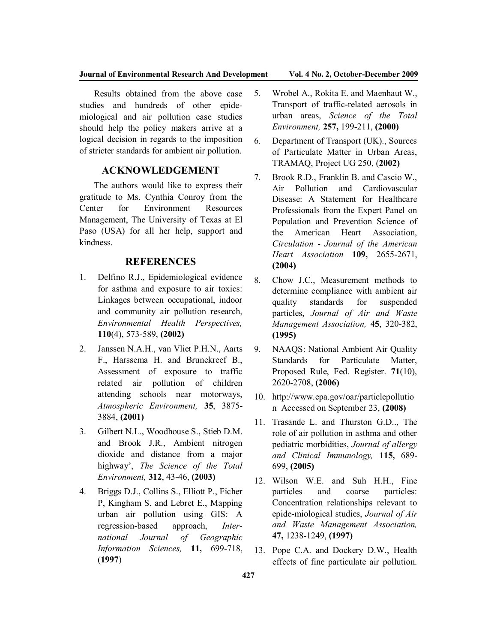#### **Journal of Environmental Research And Development Vol. 4 No. 2, October-December 2009**

Results obtained from the above case studies and hundreds of other epidemiological and air pollution case studies should help the policy makers arrive at a logical decision in regards to the imposition of stricter standards for ambient air pollution.

# **ACKNOWLEDGEMENT**

The authors would like to express their gratitude to Ms. Cynthia Conroy from the Center for Environment Resources Management, The University of Texas at El Paso (USA) for all her help, support and kindness.

### **REFERENCES**

- 1. Delfino R.J., Epidemiological evidence for asthma and exposure to air toxics: Linkages between occupational, indoor and community air pollution research, *Environmental Health Perspectives,* **110**(4), 573-589, **(2002)**
- 2. Janssen N.A.H., van Vliet P.H.N., Aarts F., Harssema H. and Brunekreef B., Assessment of exposure to traffic related air pollution of children attending schools near motorways, *Atmospheric Environment,* **35**, 3875- 3884, **(2001)**
- 3. Gilbert N.L., Woodhouse S., Stieb D.M. and Brook J.R., Ambient nitrogen dioxide and distance from a major highway', *The Science of the Total Environment,* **312**, 43-46, **(2003)**
- 4. Briggs D.J., Collins S., Elliott P., Ficher P, Kingham S. and Lebret E., Mapping urban air pollution using GIS: A regression-based approach, *International Journal of Geographic Information Sciences,* **11,** 699-718, (**1997**)
- 5. Wrobel A., Rokita E. and Maenhaut W., Transport of traffic-related aerosols in urban areas, *Science of the Total Environment,* **257,** 199-211, **(2000)**
- 6. Department of Transport (UK)., Sources of Particulate Matter in Urban Areas, TRAMAQ, Project UG 250, (**2002)**
- 7. Brook R.D., Franklin B. and Cascio W., Air Pollution and Cardiovascular Disease: A Statement for Healthcare Professionals from the Expert Panel on Population and Prevention Science of the American Heart Association, *Circulation - Journal of the American Heart Association* **109,** 2655-2671, **(2004)**
- 8. Chow J.C., Measurement methods to determine compliance with ambient air quality standards for suspended particles, *Journal of Air and Waste Management Association,* **45**, 320-382, **(1995)**
- 9. NAAQS: National Ambient Air Quality Standards for Particulate Matter, Proposed Rule, Fed. Register. **71**(10), 2620-2708, **(2006)**
- 10. http://www.epa.gov/oar/particlepollutio n Accessed on September 23, **(2008)**
- 11. Trasande L. and Thurston G.D.., The role of air pollution in asthma and other pediatric morbidities, *Journal of allergy and Clinical Immunology,* **115,** 689- 699, **(2005)**
- 12. Wilson W.E. and Suh H.H., Fine particles and coarse particles: Concentration relationships relevant to epide-miological studies, *Journal of Air and Waste Management Association,* **47,** 1238-1249, **(1997)**
- 13. Pope C.A. and Dockery D.W., Health effects of fine particulate air pollution.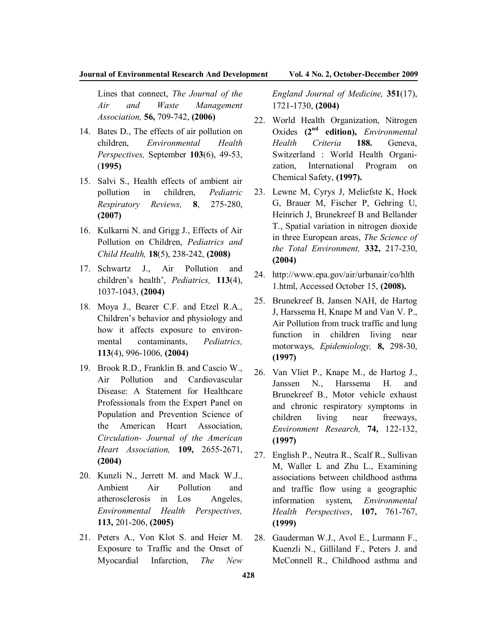Lines that connect, *The Journal of the Air and Waste Management Association,* **56,** 709-742, **(2006)**

- 14. Bates D., The effects of air pollution on children, *Environmental Health Perspectives,* September **103**(6), 49-53, (**1995)**
- 15. Salvi S., Health effects of ambient air pollution in children, *Pediatric Respiratory Reviews,* **8**, 275-280, **(2007)**
- 16. Kulkarni N. and Grigg J., Effects of Air Pollution on Children, *Pediatrics and Child Health,* **18**(5), 238-242, **(2008)**
- 17. Schwartz J., Air Pollution and children's health', *Pediatrics,* **113**(4), 1037-1043, **(2004)**
- 18. Moya J., Bearer C.F. and Etzel R.A., Children's behavior and physiology and how it affects exposure to environmental contaminants, *Pediatrics,* **113**(4), 996-1006, **(2004)**
- 19. Brook R.D., Franklin B. and Cascio W., Air Pollution and Cardiovascular Disease: A Statement for Healthcare Professionals from the Expert Panel on Population and Prevention Science of the American Heart Association, *Circulation- Journal of the American Heart Association,* **109,** 2655-2671, **(2004)**
- 20. Kunzli N., Jerrett M. and Mack W.J., Ambient Air Pollution and atherosclerosis in Los Angeles, *Environmental Health Perspectives,* **113,** 201-206, **(2005)**
- 21. Peters A., Von Klot S. and Heier M. Exposure to Traffic and the Onset of Myocardial Infarction, *The New*

*England Journal of Medicine,* **351**(17), 1721-1730, **(2004)**

- 22. World Health Organization, Nitrogen Oxides **(2nd edition),** *Environmental Health Criteria* **188.** Geneva, Switzerland : World Health Organization, International Program on Chemical Safety, **(1997).**
- 23. Lewne M, Cyrys J, Meliefste K, Hoek G, Brauer M, Fischer P, Gehring U, Heinrich J, Brunekreef B and Bellander T., Spatial variation in nitrogen dioxide in three European areas, *The Science of the Total Environment,* **332,** 217-230, **(2004)**
- 24. http://www.epa.gov/air/urbanair/co/hlth 1.html, Accessed October 15, **(2008).**
- 25. Brunekreef B, Jansen NAH, de Hartog J, Harssema H, Knape M and Van V. P., Air Pollution from truck traffic and lung function in children living near motorways, *Epidemiology,* **8,** 298-30, **(1997)**
- 26. Van Vliet P., Knape M., de Hartog J., Janssen N., Harssema H. and Brunekreef B., Motor vehicle exhaust and chronic respiratory symptoms in children living near freeways, *Environment Research,* **74,** 122-132, **(1997)**
- 27. English P., Neutra R., Scalf R., Sullivan M, Waller L and Zhu L., Examining associations between childhood asthma and traffic flow using a geographic information system, *Environmental Health Perspectives*, **107,** 761-767, **(1999)**
- 28. Gauderman W.J., Avol E., Lurmann F., Kuenzli N., Gilliland F., Peters J. and McConnell R., Childhood asthma and